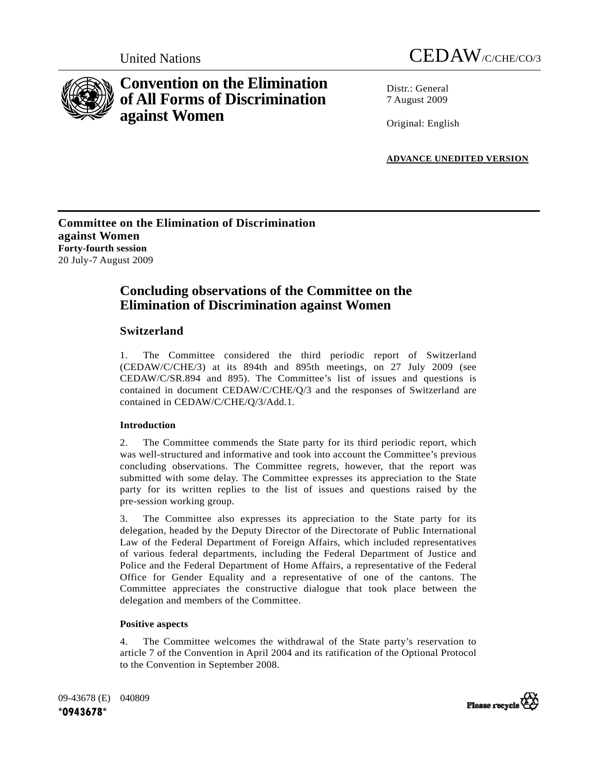



# **Convention on the Elimination of All Forms of Discrimination against Women**

Distr · General 7 August 2009

Original: English

**ADVANCE UNEDITED VERSION**

# **Committee on the Elimination of Discrimination against Women Forty-fourth session**  20 July-7 August 2009

# **Concluding observations of the Committee on the Elimination of Discrimination against Women**

# **Switzerland**

1. The Committee considered the third periodic report of Switzerland (CEDAW/C/CHE/3) at its 894th and 895th meetings, on 27 July 2009 (see CEDAW/C/SR.894 and 895). The Committee's list of issues and questions is contained in document CEDAW/C/CHE/Q/3 and the responses of Switzerland are contained in CEDAW/C/CHE/Q/3/Add.1.

# **Introduction**

2. The Committee commends the State party for its third periodic report, which was well-structured and informative and took into account the Committee's previous concluding observations. The Committee regrets, however, that the report was submitted with some delay. The Committee expresses its appreciation to the State party for its written replies to the list of issues and questions raised by the pre-session working group.

3. The Committee also expresses its appreciation to the State party for its delegation, headed by the Deputy Director of the Directorate of Public International Law of the Federal Department of Foreign Affairs, which included representatives of various federal departments, including the Federal Department of Justice and Police and the Federal Department of Home Affairs, a representative of the Federal Office for Gender Equality and a representative of one of the cantons. The Committee appreciates the constructive dialogue that took place between the delegation and members of the Committee.

# **Positive aspects**

4. The Committee welcomes the withdrawal of the State party's reservation to article 7 of the Convention in April 2004 and its ratification of the Optional Protocol to the Convention in September 2008.

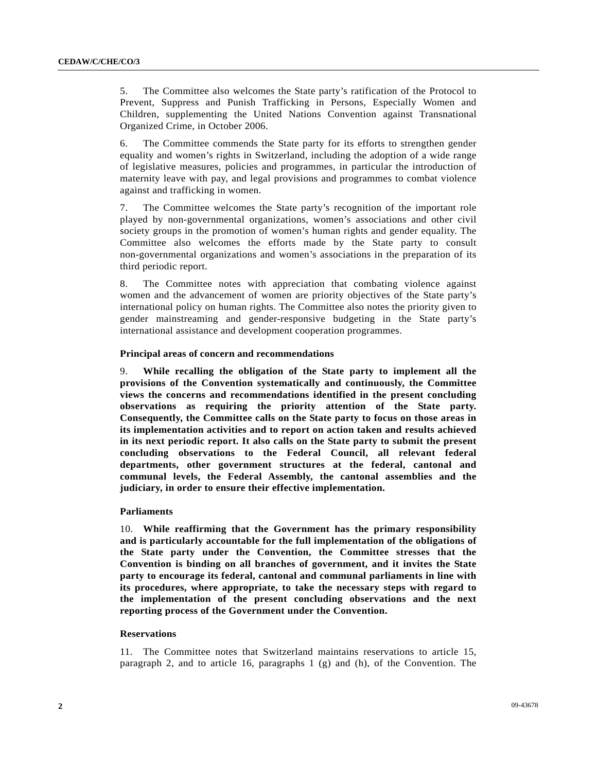5. The Committee also welcomes the State party's ratification of the Protocol to Prevent, Suppress and Punish Trafficking in Persons, Especially Women and Children, supplementing the United Nations Convention against Transnational Organized Crime, in October 2006.

6. The Committee commends the State party for its efforts to strengthen gender equality and women's rights in Switzerland, including the adoption of a wide range of legislative measures, policies and programmes, in particular the introduction of maternity leave with pay, and legal provisions and programmes to combat violence against and trafficking in women.

7. The Committee welcomes the State party's recognition of the important role played by non-governmental organizations, women's associations and other civil society groups in the promotion of women's human rights and gender equality. The Committee also welcomes the efforts made by the State party to consult non-governmental organizations and women's associations in the preparation of its third periodic report.

8. The Committee notes with appreciation that combating violence against women and the advancement of women are priority objectives of the State party's international policy on human rights. The Committee also notes the priority given to gender mainstreaming and gender-responsive budgeting in the State party's international assistance and development cooperation programmes.

# **Principal areas of concern and recommendations**

9. **While recalling the obligation of the State party to implement all the provisions of the Convention systematically and continuously, the Committee views the concerns and recommendations identified in the present concluding observations as requiring the priority attention of the State party. Consequently, the Committee calls on the State party to focus on those areas in its implementation activities and to report on action taken and results achieved in its next periodic report. It also calls on the State party to submit the present concluding observations to the Federal Council, all relevant federal departments, other government structures at the federal, cantonal and communal levels, the Federal Assembly, the cantonal assemblies and the judiciary, in order to ensure their effective implementation.**

# **Parliaments**

10. **While reaffirming that the Government has the primary responsibility and is particularly accountable for the full implementation of the obligations of the State party under the Convention, the Committee stresses that the Convention is binding on all branches of government, and it invites the State party to encourage its federal, cantonal and communal parliaments in line with its procedures, where appropriate, to take the necessary steps with regard to the implementation of the present concluding observations and the next reporting process of the Government under the Convention.** 

# **Reservations**

11. The Committee notes that Switzerland maintains reservations to article 15, paragraph 2, and to article 16, paragraphs 1 (g) and (h), of the Convention. The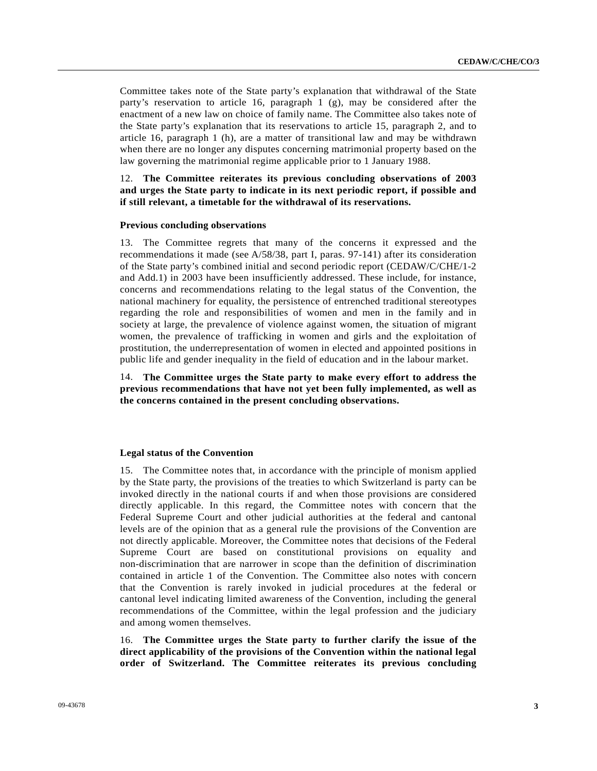Committee takes note of the State party's explanation that withdrawal of the State party's reservation to article 16, paragraph 1  $(g)$ , may be considered after the enactment of a new law on choice of family name. The Committee also takes note of the State party's explanation that its reservations to article 15, paragraph 2, and to article 16, paragraph 1 (h), are a matter of transitional law and may be withdrawn when there are no longer any disputes concerning matrimonial property based on the law governing the matrimonial regime applicable prior to 1 January 1988.

12. **The Committee reiterates its previous concluding observations of 2003 and urges the State party to indicate in its next periodic report, if possible and if still relevant, a timetable for the withdrawal of its reservations.**

# **Previous concluding observations**

13. The Committee regrets that many of the concerns it expressed and the recommendations it made (see A/58/38, part I, paras. 97-141) after its consideration of the State party's combined initial and second periodic report (CEDAW/C/CHE/1-2 and Add.1) in 2003 have been insufficiently addressed. These include, for instance, concerns and recommendations relating to the legal status of the Convention, the national machinery for equality, the persistence of entrenched traditional stereotypes regarding the role and responsibilities of women and men in the family and in society at large, the prevalence of violence against women, the situation of migrant women, the prevalence of trafficking in women and girls and the exploitation of prostitution, the underrepresentation of women in elected and appointed positions in public life and gender inequality in the field of education and in the labour market.

14. **The Committee urges the State party to make every effort to address the previous recommendations that have not yet been fully implemented, as well as the concerns contained in the present concluding observations.**

# **Legal status of the Convention**

15. The Committee notes that, in accordance with the principle of monism applied by the State party, the provisions of the treaties to which Switzerland is party can be invoked directly in the national courts if and when those provisions are considered directly applicable. In this regard, the Committee notes with concern that the Federal Supreme Court and other judicial authorities at the federal and cantonal levels are of the opinion that as a general rule the provisions of the Convention are not directly applicable. Moreover, the Committee notes that decisions of the Federal Supreme Court are based on constitutional provisions on equality and non-discrimination that are narrower in scope than the definition of discrimination contained in article 1 of the Convention. The Committee also notes with concern that the Convention is rarely invoked in judicial procedures at the federal or cantonal level indicating limited awareness of the Convention, including the general recommendations of the Committee, within the legal profession and the judiciary and among women themselves.

16. **The Committee urges the State party to further clarify the issue of the direct applicability of the provisions of the Convention within the national legal order of Switzerland. The Committee reiterates its previous concluding**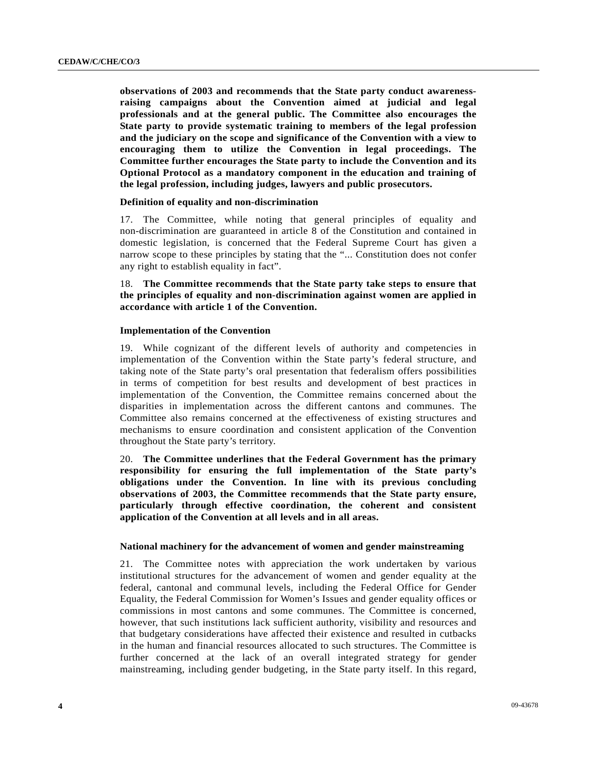**observations of 2003 and recommends that the State party conduct awarenessraising campaigns about the Convention aimed at judicial and legal professionals and at the general public. The Committee also encourages the State party to provide systematic training to members of the legal profession and the judiciary on the scope and significance of the Convention with a view to encouraging them to utilize the Convention in legal proceedings. The Committee further encourages the State party to include the Convention and its Optional Protocol as a mandatory component in the education and training of the legal profession, including judges, lawyers and public prosecutors.**

# **Definition of equality and non-discrimination**

17. The Committee, while noting that general principles of equality and non-discrimination are guaranteed in article 8 of the Constitution and contained in domestic legislation, is concerned that the Federal Supreme Court has given a narrow scope to these principles by stating that the "... Constitution does not confer any right to establish equality in fact".

18. **The Committee recommends that the State party take steps to ensure that the principles of equality and non-discrimination against women are applied in accordance with article 1 of the Convention.** 

# **Implementation of the Convention**

19. While cognizant of the different levels of authority and competencies in implementation of the Convention within the State party's federal structure, and taking note of the State party's oral presentation that federalism offers possibilities in terms of competition for best results and development of best practices in implementation of the Convention, the Committee remains concerned about the disparities in implementation across the different cantons and communes. The Committee also remains concerned at the effectiveness of existing structures and mechanisms to ensure coordination and consistent application of the Convention throughout the State party's territory.

20. **The Committee underlines that the Federal Government has the primary responsibility for ensuring the full implementation of the State party's obligations under the Convention. In line with its previous concluding observations of 2003, the Committee recommends that the State party ensure, particularly through effective coordination, the coherent and consistent application of the Convention at all levels and in all areas.**

# **National machinery for the advancement of women and gender mainstreaming**

21. The Committee notes with appreciation the work undertaken by various institutional structures for the advancement of women and gender equality at the federal, cantonal and communal levels, including the Federal Office for Gender Equality, the Federal Commission for Women's Issues and gender equality offices or commissions in most cantons and some communes. The Committee is concerned, however, that such institutions lack sufficient authority, visibility and resources and that budgetary considerations have affected their existence and resulted in cutbacks in the human and financial resources allocated to such structures. The Committee is further concerned at the lack of an overall integrated strategy for gender mainstreaming, including gender budgeting, in the State party itself. In this regard,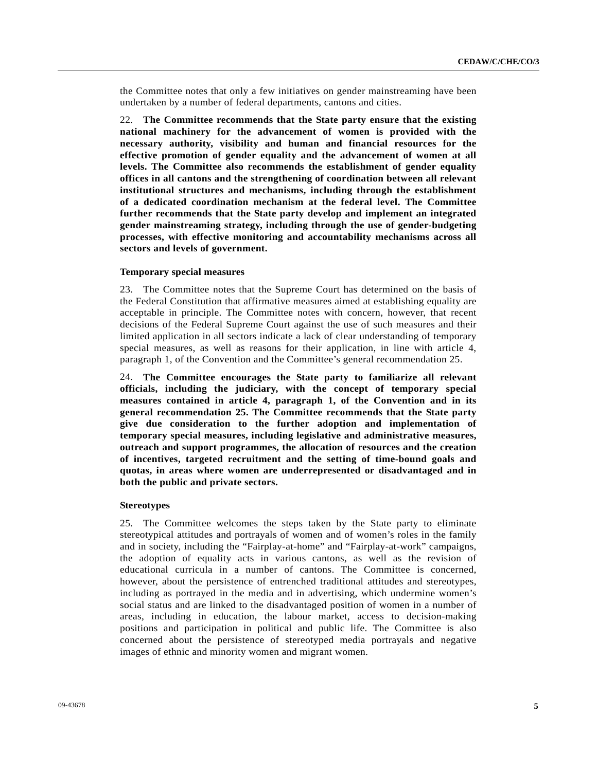the Committee notes that only a few initiatives on gender mainstreaming have been undertaken by a number of federal departments, cantons and cities.

22. **The Committee recommends that the State party ensure that the existing national machinery for the advancement of women is provided with the necessary authority, visibility and human and financial resources for the effective promotion of gender equality and the advancement of women at all levels. The Committee also recommends the establishment of gender equality offices in all cantons and the strengthening of coordination between all relevant institutional structures and mechanisms, including through the establishment of a dedicated coordination mechanism at the federal level. The Committee further recommends that the State party develop and implement an integrated gender mainstreaming strategy, including through the use of gender-budgeting processes, with effective monitoring and accountability mechanisms across all sectors and levels of government.** 

# **Temporary special measures**

23. The Committee notes that the Supreme Court has determined on the basis of the Federal Constitution that affirmative measures aimed at establishing equality are acceptable in principle. The Committee notes with concern, however, that recent decisions of the Federal Supreme Court against the use of such measures and their limited application in all sectors indicate a lack of clear understanding of temporary special measures, as well as reasons for their application, in line with article 4, paragraph 1, of the Convention and the Committee's general recommendation 25.

24. **The Committee encourages the State party to familiarize all relevant officials, including the judiciary, with the concept of temporary special measures contained in article 4, paragraph 1, of the Convention and in its general recommendation 25. The Committee recommends that the State party give due consideration to the further adoption and implementation of temporary special measures, including legislative and administrative measures, outreach and support programmes, the allocation of resources and the creation of incentives, targeted recruitment and the setting of time-bound goals and quotas, in areas where women are underrepresented or disadvantaged and in both the public and private sectors.** 

#### **Stereotypes**

25. The Committee welcomes the steps taken by the State party to eliminate stereotypical attitudes and portrayals of women and of women's roles in the family and in society, including the "Fairplay-at-home" and "Fairplay-at-work" campaigns, the adoption of equality acts in various cantons, as well as the revision of educational curricula in a number of cantons. The Committee is concerned, however, about the persistence of entrenched traditional attitudes and stereotypes, including as portrayed in the media and in advertising, which undermine women's social status and are linked to the disadvantaged position of women in a number of areas, including in education, the labour market, access to decision-making positions and participation in political and public life. The Committee is also concerned about the persistence of stereotyped media portrayals and negative images of ethnic and minority women and migrant women.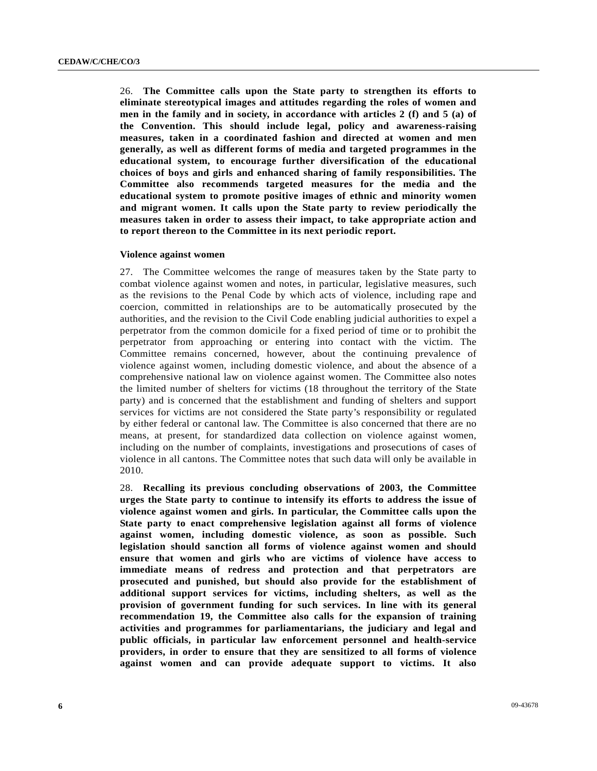26. **The Committee calls upon the State party to strengthen its efforts to eliminate stereotypical images and attitudes regarding the roles of women and men in the family and in society, in accordance with articles 2 (f) and 5 (a) of the Convention. This should include legal, policy and awareness-raising measures, taken in a coordinated fashion and directed at women and men generally, as well as different forms of media and targeted programmes in the educational system, to encourage further diversification of the educational choices of boys and girls and enhanced sharing of family responsibilities. The Committee also recommends targeted measures for the media and the educational system to promote positive images of ethnic and minority women and migrant women. It calls upon the State party to review periodically the measures taken in order to assess their impact, to take appropriate action and to report thereon to the Committee in its next periodic report.** 

#### **Violence against women**

27. The Committee welcomes the range of measures taken by the State party to combat violence against women and notes, in particular, legislative measures, such as the revisions to the Penal Code by which acts of violence, including rape and coercion, committed in relationships are to be automatically prosecuted by the authorities, and the revision to the Civil Code enabling judicial authorities to expel a perpetrator from the common domicile for a fixed period of time or to prohibit the perpetrator from approaching or entering into contact with the victim. The Committee remains concerned, however, about the continuing prevalence of violence against women, including domestic violence, and about the absence of a comprehensive national law on violence against women. The Committee also notes the limited number of shelters for victims (18 throughout the territory of the State party) and is concerned that the establishment and funding of shelters and support services for victims are not considered the State party's responsibility or regulated by either federal or cantonal law. The Committee is also concerned that there are no means, at present, for standardized data collection on violence against women, including on the number of complaints, investigations and prosecutions of cases of violence in all cantons. The Committee notes that such data will only be available in 2010.

28. **Recalling its previous concluding observations of 2003, the Committee urges the State party to continue to intensify its efforts to address the issue of violence against women and girls. In particular, the Committee calls upon the State party to enact comprehensive legislation against all forms of violence against women, including domestic violence, as soon as possible. Such legislation should sanction all forms of violence against women and should ensure that women and girls who are victims of violence have access to immediate means of redress and protection and that perpetrators are prosecuted and punished, but should also provide for the establishment of additional support services for victims, including shelters, as well as the provision of government funding for such services. In line with its general recommendation 19, the Committee also calls for the expansion of training activities and programmes for parliamentarians, the judiciary and legal and public officials, in particular law enforcement personnel and health-service providers, in order to ensure that they are sensitized to all forms of violence against women and can provide adequate support to victims. It also**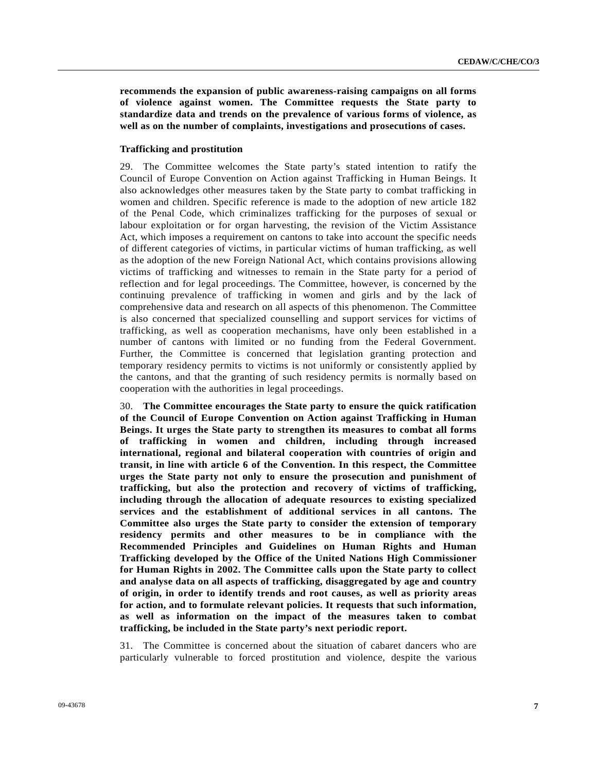**recommends the expansion of public awareness-raising campaigns on all forms of violence against women. The Committee requests the State party to standardize data and trends on the prevalence of various forms of violence, as well as on the number of complaints, investigations and prosecutions of cases.** 

# **Trafficking and prostitution**

29. The Committee welcomes the State party's stated intention to ratify the Council of Europe Convention on Action against Trafficking in Human Beings. It also acknowledges other measures taken by the State party to combat trafficking in women and children. Specific reference is made to the adoption of new article 182 of the Penal Code, which criminalizes trafficking for the purposes of sexual or labour exploitation or for organ harvesting, the revision of the Victim Assistance Act, which imposes a requirement on cantons to take into account the specific needs of different categories of victims, in particular victims of human trafficking, as well as the adoption of the new Foreign National Act, which contains provisions allowing victims of trafficking and witnesses to remain in the State party for a period of reflection and for legal proceedings. The Committee, however, is concerned by the continuing prevalence of trafficking in women and girls and by the lack of comprehensive data and research on all aspects of this phenomenon. The Committee is also concerned that specialized counselling and support services for victims of trafficking, as well as cooperation mechanisms, have only been established in a number of cantons with limited or no funding from the Federal Government. Further, the Committee is concerned that legislation granting protection and temporary residency permits to victims is not uniformly or consistently applied by the cantons, and that the granting of such residency permits is normally based on cooperation with the authorities in legal proceedings.

30. **The Committee encourages the State party to ensure the quick ratification of the Council of Europe Convention on Action against Trafficking in Human Beings. It urges the State party to strengthen its measures to combat all forms of trafficking in women and children, including through increased international, regional and bilateral cooperation with countries of origin and transit, in line with article 6 of the Convention. In this respect, the Committee urges the State party not only to ensure the prosecution and punishment of trafficking, but also the protection and recovery of victims of trafficking, including through the allocation of adequate resources to existing specialized services and the establishment of additional services in all cantons. The Committee also urges the State party to consider the extension of temporary residency permits and other measures to be in compliance with the Recommended Principles and Guidelines on Human Rights and Human Trafficking developed by the Office of the United Nations High Commissioner for Human Rights in 2002. The Committee calls upon the State party to collect and analyse data on all aspects of trafficking, disaggregated by age and country of origin, in order to identify trends and root causes, as well as priority areas for action, and to formulate relevant policies. It requests that such information, as well as information on the impact of the measures taken to combat trafficking, be included in the State party's next periodic report.** 

31. The Committee is concerned about the situation of cabaret dancers who are particularly vulnerable to forced prostitution and violence, despite the various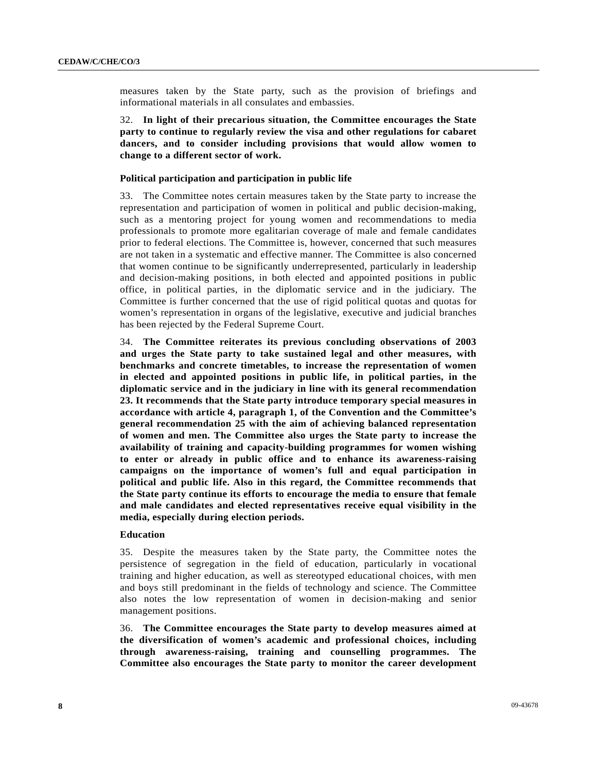measures taken by the State party, such as the provision of briefings and informational materials in all consulates and embassies.

32. **In light of their precarious situation, the Committee encourages the State party to continue to regularly review the visa and other regulations for cabaret dancers, and to consider including provisions that would allow women to change to a different sector of work.** 

# **Political participation and participation in public life**

33. The Committee notes certain measures taken by the State party to increase the representation and participation of women in political and public decision-making, such as a mentoring project for young women and recommendations to media professionals to promote more egalitarian coverage of male and female candidates prior to federal elections. The Committee is, however, concerned that such measures are not taken in a systematic and effective manner. The Committee is also concerned that women continue to be significantly underrepresented, particularly in leadership and decision-making positions, in both elected and appointed positions in public office, in political parties, in the diplomatic service and in the judiciary. The Committee is further concerned that the use of rigid political quotas and quotas for women's representation in organs of the legislative, executive and judicial branches has been rejected by the Federal Supreme Court.

34. **The Committee reiterates its previous concluding observations of 2003 and urges the State party to take sustained legal and other measures, with benchmarks and concrete timetables, to increase the representation of women in elected and appointed positions in public life, in political parties, in the diplomatic service and in the judiciary in line with its general recommendation 23. It recommends that the State party introduce temporary special measures in accordance with article 4, paragraph 1, of the Convention and the Committee's general recommendation 25 with the aim of achieving balanced representation of women and men. The Committee also urges the State party to increase the availability of training and capacity-building programmes for women wishing to enter or already in public office and to enhance its awareness-raising campaigns on the importance of women's full and equal participation in political and public life. Also in this regard, the Committee recommends that the State party continue its efforts to encourage the media to ensure that female and male candidates and elected representatives receive equal visibility in the media, especially during election periods.** 

# **Education**

35. Despite the measures taken by the State party, the Committee notes the persistence of segregation in the field of education, particularly in vocational training and higher education, as well as stereotyped educational choices, with men and boys still predominant in the fields of technology and science. The Committee also notes the low representation of women in decision-making and senior management positions.

36. **The Committee encourages the State party to develop measures aimed at the diversification of women's academic and professional choices, including through awareness-raising, training and counselling programmes. The Committee also encourages the State party to monitor the career development**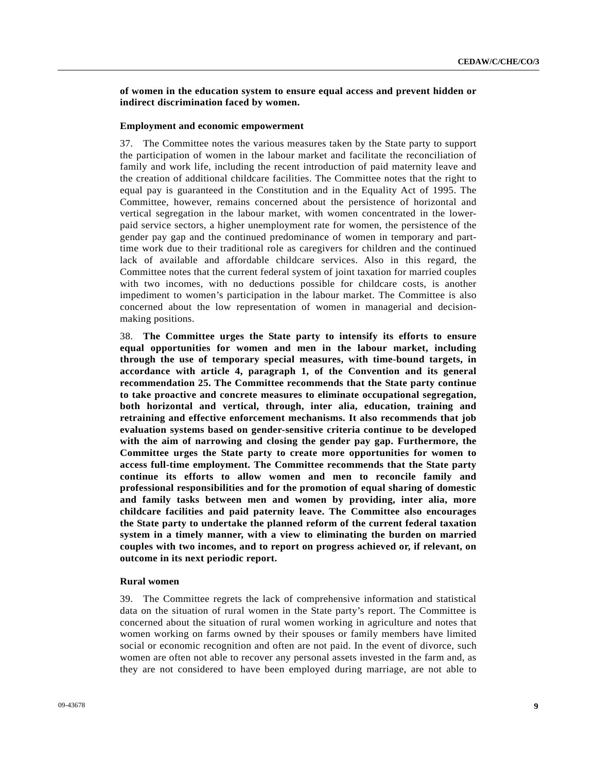# **of women in the education system to ensure equal access and prevent hidden or indirect discrimination faced by women.**

#### **Employment and economic empowerment**

37. The Committee notes the various measures taken by the State party to support the participation of women in the labour market and facilitate the reconciliation of family and work life, including the recent introduction of paid maternity leave and the creation of additional childcare facilities. The Committee notes that the right to equal pay is guaranteed in the Constitution and in the Equality Act of 1995. The Committee, however, remains concerned about the persistence of horizontal and vertical segregation in the labour market, with women concentrated in the lowerpaid service sectors, a higher unemployment rate for women, the persistence of the gender pay gap and the continued predominance of women in temporary and parttime work due to their traditional role as caregivers for children and the continued lack of available and affordable childcare services. Also in this regard, the Committee notes that the current federal system of joint taxation for married couples with two incomes, with no deductions possible for childcare costs, is another impediment to women's participation in the labour market. The Committee is also concerned about the low representation of women in managerial and decisionmaking positions.

38. **The Committee urges the State party to intensify its efforts to ensure equal opportunities for women and men in the labour market, including through the use of temporary special measures, with time-bound targets, in accordance with article 4, paragraph 1, of the Convention and its general recommendation 25. The Committee recommends that the State party continue to take proactive and concrete measures to eliminate occupational segregation, both horizontal and vertical, through, inter alia, education, training and retraining and effective enforcement mechanisms. It also recommends that job evaluation systems based on gender-sensitive criteria continue to be developed with the aim of narrowing and closing the gender pay gap. Furthermore, the Committee urges the State party to create more opportunities for women to access full-time employment. The Committee recommends that the State party continue its efforts to allow women and men to reconcile family and professional responsibilities and for the promotion of equal sharing of domestic and family tasks between men and women by providing, inter alia, more childcare facilities and paid paternity leave. The Committee also encourages the State party to undertake the planned reform of the current federal taxation system in a timely manner, with a view to eliminating the burden on married couples with two incomes, and to report on progress achieved or, if relevant, on outcome in its next periodic report.** 

# **Rural women**

39. The Committee regrets the lack of comprehensive information and statistical data on the situation of rural women in the State party's report. The Committee is concerned about the situation of rural women working in agriculture and notes that women working on farms owned by their spouses or family members have limited social or economic recognition and often are not paid. In the event of divorce, such women are often not able to recover any personal assets invested in the farm and, as they are not considered to have been employed during marriage, are not able to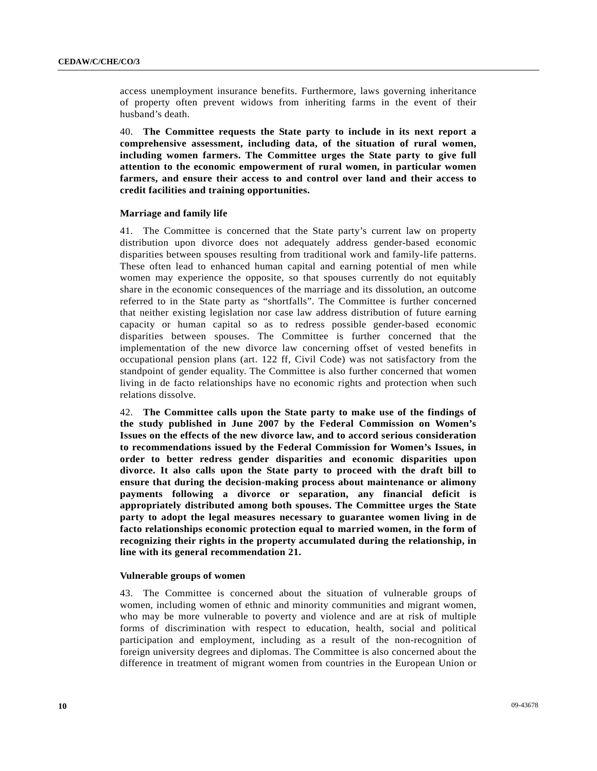access unemployment insurance benefits. Furthermore, laws governing inheritance of property often prevent widows from inheriting farms in the event of their husband's death.

40. **The Committee requests the State party to include in its next report a comprehensive assessment, including data, of the situation of rural women, including women farmers. The Committee urges the State party to give full attention to the economic empowerment of rural women, in particular women farmers, and ensure their access to and control over land and their access to credit facilities and training opportunities.** 

# **Marriage and family life**

41. The Committee is concerned that the State party's current law on property distribution upon divorce does not adequately address gender-based economic disparities between spouses resulting from traditional work and family-life patterns. These often lead to enhanced human capital and earning potential of men while women may experience the opposite, so that spouses currently do not equitably share in the economic consequences of the marriage and its dissolution, an outcome referred to in the State party as "shortfalls". The Committee is further concerned that neither existing legislation nor case law address distribution of future earning capacity or human capital so as to redress possible gender-based economic disparities between spouses. The Committee is further concerned that the implementation of the new divorce law concerning offset of vested benefits in occupational pension plans (art. 122 ff, Civil Code) was not satisfactory from the standpoint of gender equality. The Committee is also further concerned that women living in de facto relationships have no economic rights and protection when such relations dissolve.

42. **The Committee calls upon the State party to make use of the findings of the study published in June 2007 by the Federal Commission on Women's Issues on the effects of the new divorce law, and to accord serious consideration to recommendations issued by the Federal Commission for Women's Issues, in order to better redress gender disparities and economic disparities upon divorce. It also calls upon the State party to proceed with the draft bill to ensure that during the decision-making process about maintenance or alimony payments following a divorce or separation, any financial deficit is appropriately distributed among both spouses. The Committee urges the State party to adopt the legal measures necessary to guarantee women living in de facto relationships economic protection equal to married women, in the form of recognizing their rights in the property accumulated during the relationship, in line with its general recommendation 21.** 

# **Vulnerable groups of women**

43. The Committee is concerned about the situation of vulnerable groups of women, including women of ethnic and minority communities and migrant women, who may be more vulnerable to poverty and violence and are at risk of multiple forms of discrimination with respect to education, health, social and political participation and employment, including as a result of the non-recognition of foreign university degrees and diplomas. The Committee is also concerned about the difference in treatment of migrant women from countries in the European Union or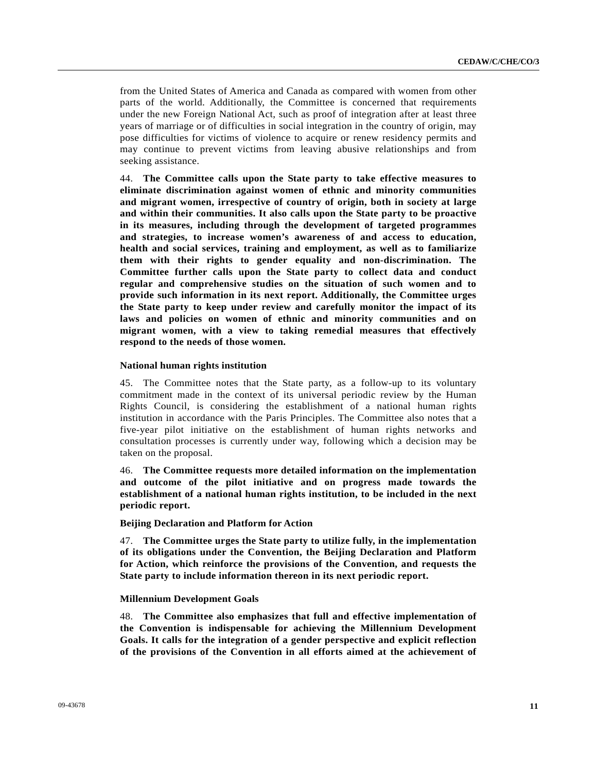from the United States of America and Canada as compared with women from other parts of the world. Additionally, the Committee is concerned that requirements under the new Foreign National Act, such as proof of integration after at least three years of marriage or of difficulties in social integration in the country of origin, may pose difficulties for victims of violence to acquire or renew residency permits and may continue to prevent victims from leaving abusive relationships and from seeking assistance.

44. **The Committee calls upon the State party to take effective measures to eliminate discrimination against women of ethnic and minority communities and migrant women, irrespective of country of origin, both in society at large and within their communities. It also calls upon the State party to be proactive in its measures, including through the development of targeted programmes and strategies, to increase women's awareness of and access to education, health and social services, training and employment, as well as to familiarize them with their rights to gender equality and non-discrimination. The Committee further calls upon the State party to collect data and conduct regular and comprehensive studies on the situation of such women and to provide such information in its next report. Additionally, the Committee urges the State party to keep under review and carefully monitor the impact of its laws and policies on women of ethnic and minority communities and on migrant women, with a view to taking remedial measures that effectively respond to the needs of those women.** 

# **National human rights institution**

45. The Committee notes that the State party, as a follow-up to its voluntary commitment made in the context of its universal periodic review by the Human Rights Council, is considering the establishment of a national human rights institution in accordance with the Paris Principles. The Committee also notes that a five-year pilot initiative on the establishment of human rights networks and consultation processes is currently under way, following which a decision may be taken on the proposal.

46. **The Committee requests more detailed information on the implementation and outcome of the pilot initiative and on progress made towards the establishment of a national human rights institution, to be included in the next periodic report.** 

# **Beijing Declaration and Platform for Action**

47. **The Committee urges the State party to utilize fully, in the implementation of its obligations under the Convention, the Beijing Declaration and Platform for Action, which reinforce the provisions of the Convention, and requests the State party to include information thereon in its next periodic report.** 

# **Millennium Development Goals**

48. **The Committee also emphasizes that full and effective implementation of the Convention is indispensable for achieving the Millennium Development Goals. It calls for the integration of a gender perspective and explicit reflection of the provisions of the Convention in all efforts aimed at the achievement of**